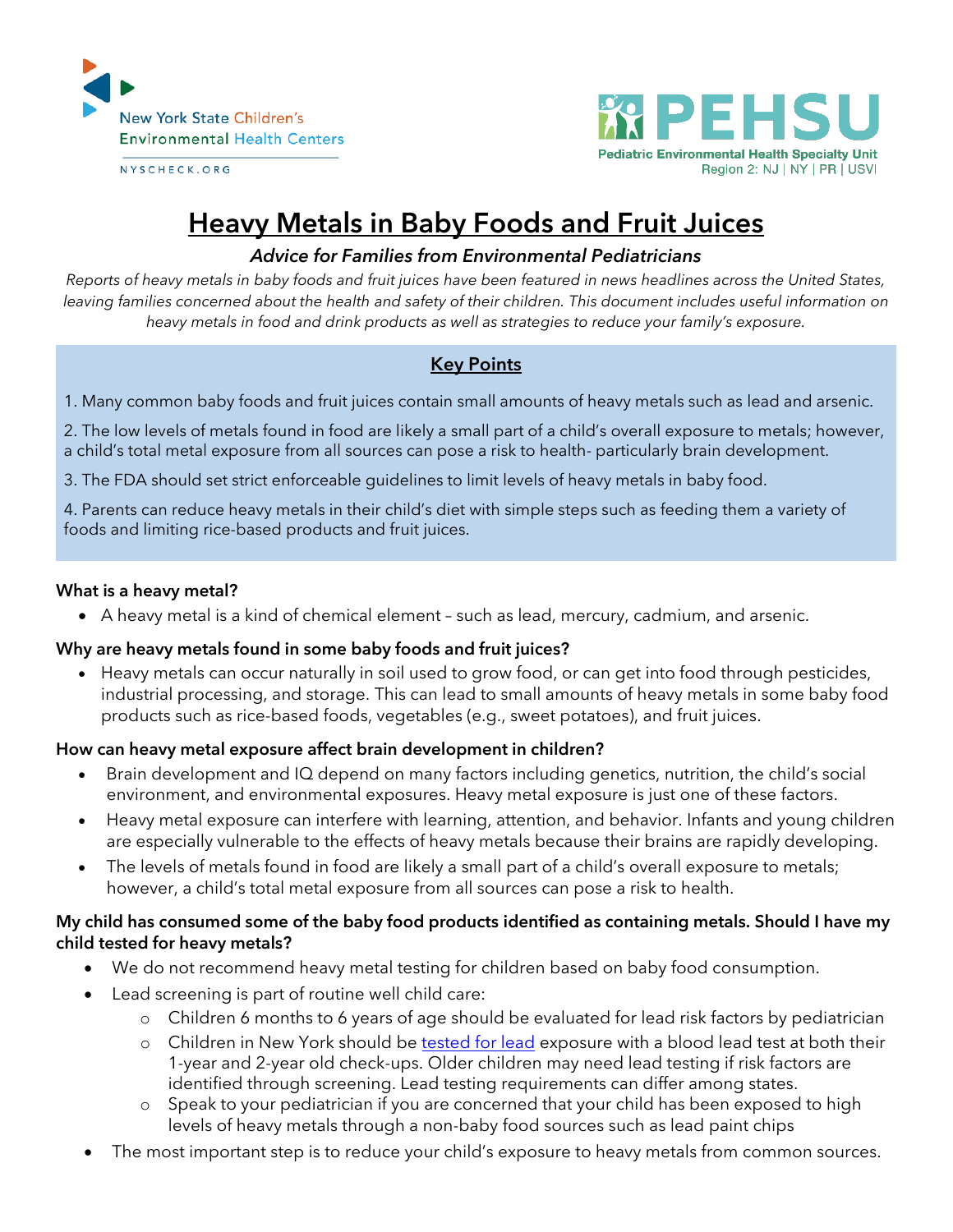

NYSCHECK.ORG



# **Heavy Metals in Baby Foods and Fruit Juices**

## *Advice for Families from Environmental Pediatricians*

*Reports of heavy metals in baby foods and fruit juices have been featured in news headlines across the United States, leaving families concerned about the health and safety of their children. This document includes useful information on heavy metals in food and drink products as well as strategies to reduce your family's exposure.*

## **Key Points**

1. Many common baby foods and fruit juices contain small amounts of heavy metals such as lead and arsenic.

2. The low levels of metals found in food are likely a small part of a child's overall exposure to metals; however, a child's total metal exposure from all sources can pose a risk to health- particularly brain development.

3. The FDA should set strict enforceable guidelines to limit levels of heavy metals in baby food.

4. Parents can reduce heavy metals in their child's diet with simple steps such as feeding them a variety of foods and limiting rice-based products and fruit juices.

#### **What is a heavy metal?**

A heavy metal is a kind of chemical element – such as lead, mercury, cadmium, and arsenic.

#### **Why are heavy metals found in some baby foods and fruit juices?**

 Heavy metals can occur naturally in soil used to grow food, or can get into food through pesticides, industrial processing, and storage. This can lead to small amounts of heavy metals in some baby food products such as rice-based foods, vegetables (e.g., sweet potatoes), and fruit juices.

#### **How can heavy metal exposure affect brain development in children?**

- Brain development and IQ depend on many factors including genetics, nutrition, the child's social environment, and environmental exposures. Heavy metal exposure is just one of these factors.
- Heavy metal exposure can interfere with learning, attention, and behavior. Infants and young children are especially vulnerable to the effects of heavy metals because their brains are rapidly developing.
- The levels of metals found in food are likely a small part of a child's overall exposure to metals; however, a child's total metal exposure from all sources can pose a risk to health.

#### **My child has consumed some of the baby food products identified as containing metals. Should I have my child tested for heavy metals?**

- We do not recommend heavy metal testing for children based on baby food consumption.
- Lead screening is part of routine well child care:
	- o Children 6 months to 6 years of age should be evaluated for lead risk factors by pediatrician
	- o Children in New York should be tested [for lead](https://www.healthychildren.org/English/safety-prevention/all-around/Pages/Blood-Lead-Levels-in-Children-What-Parents-Need-to-Know.aspx) exposure with a blood lead test at both their 1-year and 2-year old check-ups. Older children may need lead testing if risk factors are identified through screening. Lead testing requirements can differ among states.
	- o Speak to your pediatrician if you are concerned that your child has been exposed to high levels of heavy metals through a non-baby food sources such as lead paint chips
- The most important step is to reduce your child's exposure to heavy metals from common sources.